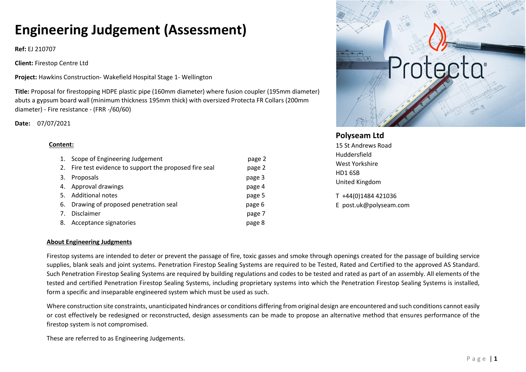# **Engineering Judgement (Assessment)**

**Ref:** EJ 210707

**Client:** Firestop Centre Ltd

**Project:** Hawkins Construction- Wakefield Hospital Stage 1- Wellington

**Title:** Proposal for firestopping HDPE plastic pipe (160mm diameter) where fusion coupler (195mm diameter) abuts a gypsum board wall (minimum thickness 195mm thick) with oversized Protecta FR Collars (200mm diameter) - Fire resistance - (FRR -/60/60)

**Date:** 07/07/2021

#### **Content:**

|    | 1. Scope of Engineering Judgement                       | page 2 |
|----|---------------------------------------------------------|--------|
|    | 2. Fire test evidence to support the proposed fire seal | page 2 |
| 3. | Proposals                                               | page 3 |
|    | 4. Approval drawings                                    | page 4 |
|    | 5. Additional notes                                     | page 5 |
|    | 6. Drawing of proposed penetration seal                 | page 6 |
| 7. | Disclaimer                                              | page 7 |
| 8. | Acceptance signatories                                  | page 8 |



# **Polyseam Ltd**

15 St Andrews Road Huddersfield West Yorkshire HD1 6SB United Kingdom

T +44(0)1484 421036 E post.uk@polyseam.com

#### **About Engineering Judgments**

Firestop systems are intended to deter or prevent the passage of fire, toxic gasses and smoke through openings created for the passage of building service supplies, blank seals and joint systems. Penetration Firestop Sealing Systems are required to be Tested, Rated and Certified to the approved AS Standard. Such Penetration Firestop Sealing Systems are required by building regulations and codes to be tested and rated as part of an assembly. All elements of the tested and certified Penetration Firestop Sealing Systems, including proprietary systems into which the Penetration Firestop Sealing Systems is installed, form a specific and inseparable engineered system which must be used as such.

Where construction site constraints, unanticipated hindrances or conditions differing from original design are encountered and such conditions cannot easily or cost effectively be redesigned or reconstructed, design assessments can be made to propose an alternative method that ensures performance of the firestop system is not compromised.

These are referred to as Engineering Judgements.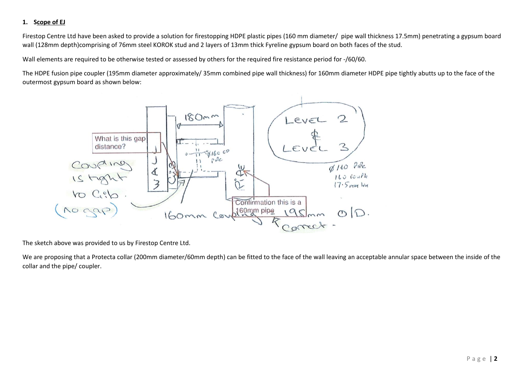## **1. Scope of EJ**

Firestop Centre Ltd have been asked to provide a solution for firestopping HDPE plastic pipes (160 mm diameter/ pipe wall thickness 17.5mm) penetrating a gypsum board wall (128mm depth)comprising of 76mm steel KOROK stud and 2 layers of 13mm thick Fyreline gypsum board on both faces of the stud.

Wall elements are required to be otherwise tested or assessed by others for the required fire resistance period for -/60/60.

The HDPE fusion pipe coupler (195mm diameter approximately/ 35mm combined pipe wall thickness) for 160mm diameter HDPE pipe tightly abutts up to the face of the outermost gypsum board as shown below:



The sketch above was provided to us by Firestop Centre Ltd.

We are proposing that a Protecta collar (200mm diameter/60mm depth) can be fitted to the face of the wall leaving an acceptable annular space between the inside of the collar and the pipe/ coupler.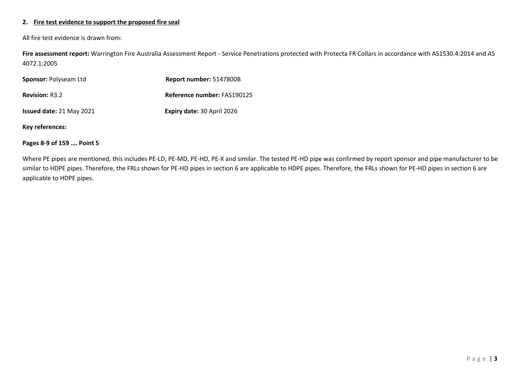#### **2. Fire test evidence to support the proposed fire seal**

All fire test evidence is drawn from:

**Fire assessment report:** Warrington Fire Australia Assessment Report - Service Penetrations protected with Protecta FR Collars in accordance with AS1530.4:2014 and AS 4072.1:2005

| Sponsor: Polyseam Ltd    | Report number: 5147800B           |
|--------------------------|-----------------------------------|
| <b>Revision: R3.2</b>    | Reference number: FAS190125       |
| Issued date: 21 May 2021 | <b>Expiry date: 30 April 2026</b> |

**Key references:**

#### **Pages 8-9 of 159 …. Point 5**

Where PE pipes are mentioned, this includes PE-LD, PE-MD, PE-HD, PE-X and similar. The tested PE-HD pipe was confirmed by report sponsor and pipe manufacturer to be similar to HDPE pipes. Therefore, the FRLs shown for PE-HD pipes in section 6 are applicable to HDPE pipes. Therefore, the FRLs shown for PE-HD pipes in section 6 are applicable to HDPE pipes.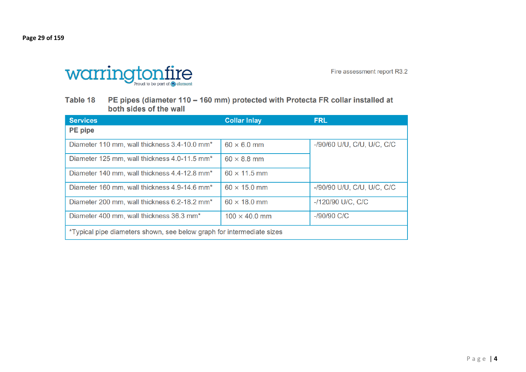**Page 29 of 159** 



Fire assessment report R3.2

Table 18 PE pipes (diameter 110 - 160 mm) protected with Protecta FR collar installed at both sides of the wall

| <b>Services</b>                                                       | <b>Collar Inlay</b>  | <b>FRL</b>                 |  |
|-----------------------------------------------------------------------|----------------------|----------------------------|--|
| <b>PE</b> pipe                                                        |                      |                            |  |
| Diameter 110 mm, wall thickness 3.4-10.0 mm <sup>*</sup>              | $60 \times 6.0$ mm   | -/90/60 U/U, C/U, U/C, C/C |  |
| Diameter 125 mm, wall thickness 4.0-11.5 mm <sup>*</sup>              | $60 \times 8.8$ mm   |                            |  |
| Diameter 140 mm, wall thickness 4.4-12.8 mm <sup>*</sup>              | $60 \times 11.5$ mm  |                            |  |
| Diameter 160 mm, wall thickness 4.9-14.6 mm <sup>*</sup>              | $60 \times 15.0$ mm  | -/90/90 U/U, C/U, U/C, C/C |  |
| Diameter 200 mm, wall thickness 6.2-18.2 mm <sup>*</sup>              | $60 \times 18.0$ mm  | -/120/90 U/C, C/C          |  |
| Diameter 400 mm, wall thickness 36.3 mm <sup>*</sup>                  | $100 \times 40.0$ mm | $-$ /90/90 C/C             |  |
| *Typical pipe diameters shown, see below graph for intermediate sizes |                      |                            |  |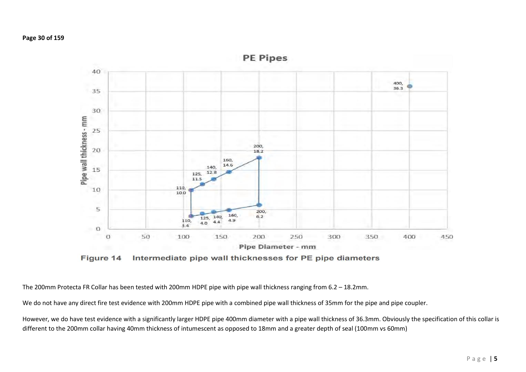

Figure 14 Intermediate pipe wall thicknesses for PE pipe diameters

The 200mm Protecta FR Collar has been tested with 200mm HDPE pipe with pipe wall thickness ranging from 6.2 – 18.2mm.

We do not have any direct fire test evidence with 200mm HDPE pipe with a combined pipe wall thickness of 35mm for the pipe and pipe coupler.

However, we do have test evidence with a significantly larger HDPE pipe 400mm diameter with a pipe wall thickness of 36.3mm. Obviously the specification of this collar is different to the 200mm collar having 40mm thickness of intumescent as opposed to 18mm and a greater depth of seal (100mm vs 60mm)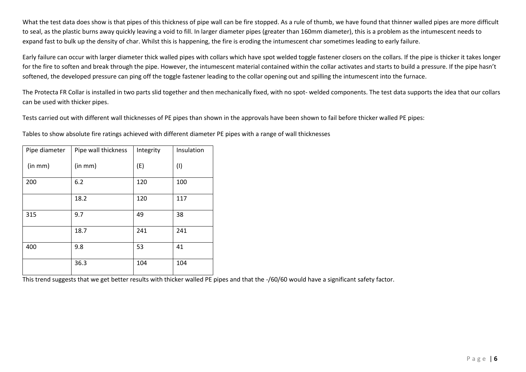What the test data does show is that pipes of this thickness of pipe wall can be fire stopped. As a rule of thumb, we have found that thinner walled pipes are more difficult to seal, as the plastic burns away quickly leaving a void to fill. In larger diameter pipes (greater than 160mm diameter), this is a problem as the intumescent needs to expand fast to bulk up the density of char. Whilst this is happening, the fire is eroding the intumescent char sometimes leading to early failure.

Early failure can occur with larger diameter thick walled pipes with collars which have spot welded toggle fastener closers on the collars. If the pipe is thicker it takes longer for the fire to soften and break through the pipe. However, the intumescent material contained within the collar activates and starts to build a pressure. If the pipe hasn't softened, the developed pressure can ping off the toggle fastener leading to the collar opening out and spilling the intumescent into the furnace.

The Protecta FR Collar is installed in two parts slid together and then mechanically fixed, with no spot- welded components. The test data supports the idea that our collars can be used with thicker pipes.

Tests carried out with different wall thicknesses of PE pipes than shown in the approvals have been shown to fail before thicker walled PE pipes:

Tables to show absolute fire ratings achieved with different diameter PE pipes with a range of wall thicknesses

| Pipe diameter | Pipe wall thickness | Integrity | Insulation |
|---------------|---------------------|-----------|------------|
| (in mm)       | (in mm)             | (E)       | (1)        |
| 200           | 6.2                 | 120       | 100        |
|               | 18.2                | 120       | 117        |
| 315           | 9.7                 | 49        | 38         |
|               | 18.7                | 241       | 241        |
| 400           | 9.8                 | 53        | 41         |
|               | 36.3                | 104       | 104        |

This trend suggests that we get better results with thicker walled PE pipes and that the -/60/60 would have a significant safety factor.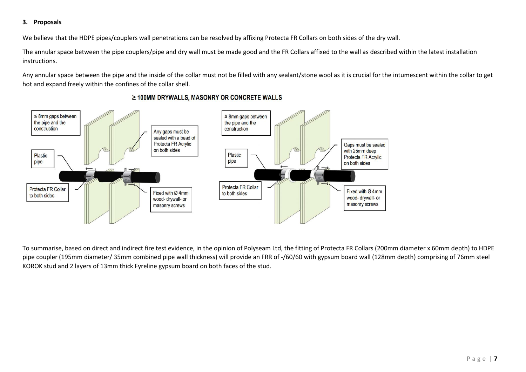#### **3. Proposals**

We believe that the HDPE pipes/couplers wall penetrations can be resolved by affixing Protecta FR Collars on both sides of the dry wall.

The annular space between the pipe couplers/pipe and dry wall must be made good and the FR Collars affixed to the wall as described within the latest installation instructions.

Any annular space between the pipe and the inside of the collar must not be filled with any sealant/stone wool as it is crucial for the intumescent within the collar to get hot and expand freely within the confines of the collar shell.



## ≥ 100MM DRYWALLS, MASONRY OR CONCRETE WALLS

To summarise, based on direct and indirect fire test evidence, in the opinion of Polyseam Ltd, the fitting of Protecta FR Collars (200mm diameter x 60mm depth) to HDPE pipe coupler (195mm diameter/ 35mm combined pipe wall thickness) will provide an FRR of -/60/60 with gypsum board wall (128mm depth) comprising of 76mm steel KOROK stud and 2 layers of 13mm thick Fyreline gypsum board on both faces of the stud.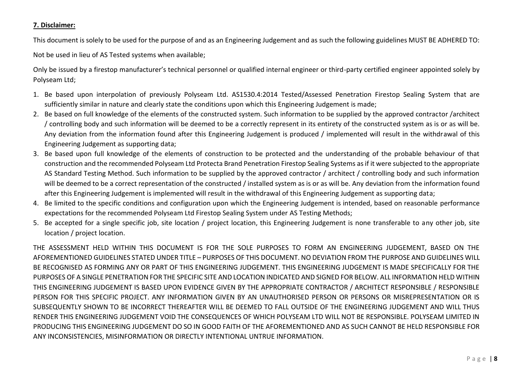## **7. Disclaimer:**

This document is solely to be used for the purpose of and as an Engineering Judgement and as such the following guidelines MUST BE ADHERED TO:

Not be used in lieu of AS Tested systems when available;

Only be issued by a firestop manufacturer's technical personnel or qualified internal engineer or third-party certified engineer appointed solely by Polyseam Ltd;

- 1. Be based upon interpolation of previously Polyseam Ltd. AS1530.4:2014 Tested/Assessed Penetration Firestop Sealing System that are sufficiently similar in nature and clearly state the conditions upon which this Engineering Judgement is made;
- 2. Be based on full knowledge of the elements of the constructed system. Such information to be supplied by the approved contractor /architect / controlling body and such information will be deemed to be a correctly represent in its entirety of the constructed system as is or as will be. Any deviation from the information found after this Engineering Judgement is produced / implemented will result in the withdrawal of this Engineering Judgement as supporting data;
- 3. Be based upon full knowledge of the elements of construction to be protected and the understanding of the probable behaviour of that construction and the recommended Polyseam Ltd Protecta Brand Penetration Firestop Sealing Systems as if it were subjected to the appropriate AS Standard Testing Method. Such information to be supplied by the approved contractor / architect / controlling body and such information will be deemed to be a correct representation of the constructed / installed system as is or as will be. Any deviation from the information found after this Engineering Judgement is implemented will result in the withdrawal of this Engineering Judgement as supporting data;
- 4. Be limited to the specific conditions and configuration upon which the Engineering Judgement is intended, based on reasonable performance expectations for the recommended Polyseam Ltd Firestop Sealing System under AS Testing Methods;
- 5. Be accepted for a single specific job, site location / project location, this Engineering Judgement is none transferable to any other job, site location / project location.

THE ASSESSMENT HELD WITHIN THIS DOCUMENT IS FOR THE SOLE PURPOSES TO FORM AN ENGINEERING JUDGEMENT, BASED ON THE AFOREMENTIONED GUIDELINES STATED UNDER TITLE – PURPOSES OF THIS DOCUMENT. NO DEVIATION FROM THE PURPOSE AND GUIDELINES WILL BE RECOGNISED AS FORMING ANY OR PART OF THIS ENGINEERING JUDGEMENT. THIS ENGINEERING JUDGEMENT IS MADE SPECIFICALLY FOR THE PURPOSES OF A SINGLE PENETRATION FOR THE SPECIFIC SITE AND LOCATION INDICATED AND SIGNED FOR BELOW. ALL INFORMATION HELD WITHIN THIS ENGINEERING JUDGEMENT IS BASED UPON EVIDENCE GIVEN BY THE APPROPRIATE CONTRACTOR / ARCHITECT RESPONSIBLE / RESPONSIBLE PERSON FOR THIS SPECIFIC PROJECT. ANY INFORMATION GIVEN BY AN UNAUTHORISED PERSON OR PERSONS OR MISREPRESENTATION OR IS SUBSEQUENTLY SHOWN TO BE INCORRECT THEREAFTER WILL BE DEEMED TO FALL OUTSIDE OF THE ENGINEERING JUDGEMENT AND WILL THUS RENDER THIS ENGINEERING JUDGEMENT VOID THE CONSEQUENCES OF WHICH POLYSEAM LTD WILL NOT BE RESPONSIBLE. POLYSEAM LIMITED IN PRODUCING THIS ENGINEERING JUDGEMENT DO SO IN GOOD FAITH OF THE AFOREMENTIONED AND AS SUCH CANNOT BE HELD RESPONSIBLE FOR ANY INCONSISTENCIES, MISINFORMATION OR DIRECTLY INTENTIONAL UNTRUE INFORMATION.